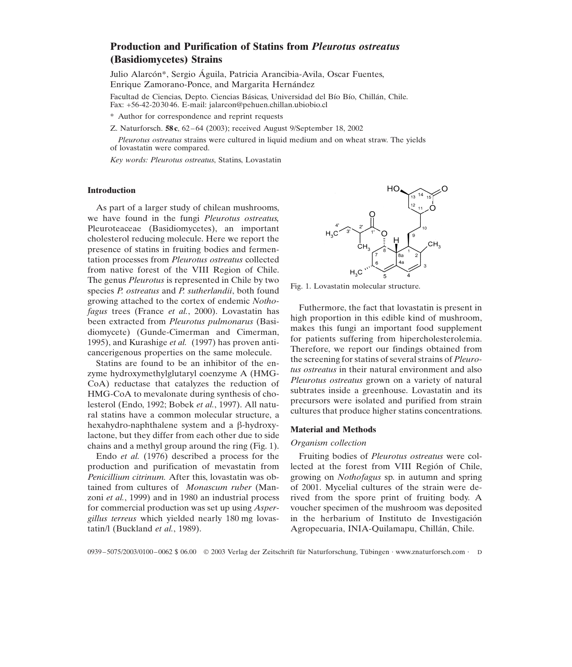# **Production and Purification of Statins from** *Pleurotus ostreatus* **(Basidiomycetes) Strains**

Julio Alarcón\*, Sergio Águila, Patricia Arancibia-Avila, Oscar Fuentes, Enrique Zamorano-Ponce, and Margarita Hernández

Facultad de Ciencias, Depto. Ciencias Básicas, Universidad del Bío Bío, Chillán, Chile. Fax: +56-42-203046. E-mail: jalarcon@pehuen.chillan.ubiobio.cl

\* Author for correspondence and reprint requests

Z. Naturforsch. **58c**, 62–64 (2003); received August 9/September 18, 2002

*Pleurotus ostreatus* strains were cultured in liquid medium and on wheat straw. The yields of lovastatin were compared.

*Key words: Pleurotus ostreatus*, Statins, Lovastatin

# **Introduction**

As part of a larger study of chilean mushrooms, we have found in the fungi *Pleurotus ostreatus,* Pleuroteaceae (Basidiomycetes), an important cholesterol reducing molecule. Here we report the presence of statins in fruiting bodies and fermentation processes from *Pleurotus ostreatus* collected from native forest of the VIII Region of Chile. The genus *Pleurotus* is represented in Chile by two species *P. ostreatus* and *P. sutherlandii*, both found growing attached to the cortex of endemic *Nothofagus* trees (France *et al.*, 2000). Lovastatin has been extracted from *Pleurotus pulmonarus* (Basidiomycete) (Gunde-Cimerman and Cimerman, 1995), and Kurashige *et al.* (1997) has proven anticancerigenous properties on the same molecule.

Statins are found to be an inhibitor of the enzyme hydroxymethylglutaryl coenzyme A (HMG-CoA) reductase that catalyzes the reduction of HMG-CoA to mevalonate during synthesis of cholesterol (Endo, 1992; Bobek *et al.*, 1997). All natural statins have a common molecular structure, a hexahydro-naphthalene system and a  $\beta$ -hydroxylactone, but they differ from each other due to side chains and a methyl group around the ring (Fig. 1).

Endo *et al.* (1976) described a process for the production and purification of mevastatin from *Penicillium citrinum.* After this, lovastatin was obtained from cultures of *Monascum ruber* (Manzoni *et al.*, 1999) and in 1980 an industrial process for commercial production was set up using *Aspergillus terreus* which yielded nearly 180 mg lovastatin/l (Buckland *et al.*, 1989).



Fig. 1. Lovastatin molecular structure.

Futhermore, the fact that lovastatin is present in high proportion in this edible kind of mushroom, makes this fungi an important food supplement for patients suffering from hipercholesterolemia. Therefore, we report our findings obtained from the screening for statins of several strains of *Pleurotus ostreatus* in their natural environment and also *Pleurotus ostreatus* grown on a variety of natural subtrates inside a greenhouse. Lovastatin and its precursors were isolated and purified from strain cultures that produce higher statins concentrations.

# **Material and Methods**

## *Organism collection*

Fruiting bodies of *Pleurotus ostreatus* were collected at the forest from VIII Región of Chile, growing on *Nothofagus* sp. in autumn and spring of 2001. Mycelial cultures of the strain were derived from the spore print of fruiting body. A voucher specimen of the mushroom was deposited in the herbarium of Instituto de Investigación Agropecuaria, INIA-Quilamapu, Chillán, Chile.

0939–5075/2003/0100–0062 \$ 06.00 © 2003 Verlag der Zeitschrift für Naturforschung, Tübingen · www.znaturforsch.com · D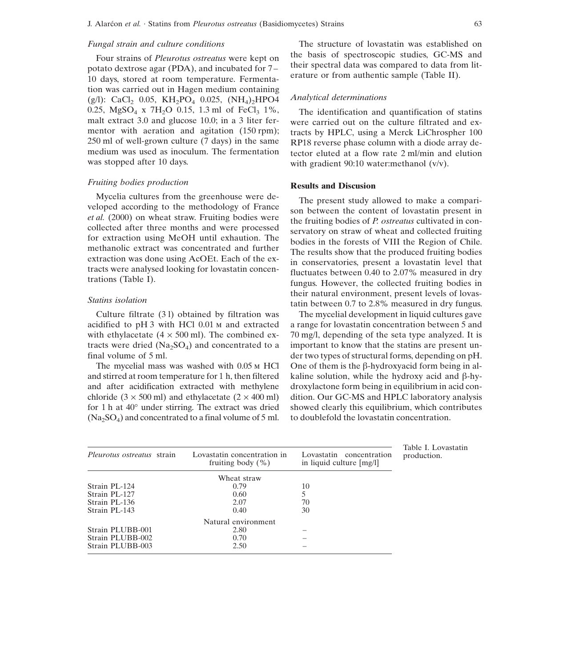#### *Fungal strain and culture conditions*

Four strains of *Pleurotus ostreatus* were kept on potato dextrose agar (PDA), and incubated for 7– 10 days, stored at room temperature. Fermentation was carried out in Hagen medium containing (g/l): CaCl<sub>2</sub> 0.05, KH<sub>2</sub>PO<sub>4</sub> 0.025, (NH<sub>4</sub>)<sub>2</sub>HPO4 0.25, MgSO<sub>4</sub> x 7H<sub>2</sub>O 0.15, 1.3 ml of FeCl<sub>3</sub> 1%, malt extract 3.0 and glucose 10.0; in a 3 liter fermentor with aeration and agitation  $(150$  rpm); 250 ml of well-grown culture (7 days) in the same medium was used as inoculum. The fermentation was stopped after 10 days.

## *Fruiting bodies production*

Mycelia cultures from the greenhouse were developed according to the methodology of France *et al.* (2000) on wheat straw. Fruiting bodies were collected after three months and were processed for extraction using MeOH until exhaution. The methanolic extract was concentrated and further extraction was done using AcOEt. Each of the extracts were analysed looking for lovastatin concentrations (Table I).

# *Statins isolation*

Culture filtrate (3 l) obtained by filtration was acidified to pH 3 with HCl 0.01 m and extracted with ethylacetate  $(4 \times 500 \text{ ml})$ . The combined extracts were dried  $(Na_2SO_4)$  and concentrated to a final volume of 5 ml.

The mycelial mass was washed with 0.05 m HCl and stirred at room temperature for 1 h, then filtered and after acidification extracted with methylene chloride  $(3 \times 500 \text{ ml})$  and ethylacetate  $(2 \times 400 \text{ ml})$ for 1 h at 40∞ under stirring. The extract was dried  $(Na_2SO_4)$  and concentrated to a final volume of 5 ml.

The structure of lovastatin was established on the basis of spectroscopic studies, GC-MS and their spectral data was compared to data from literature or from authentic sample (Table II).

#### *Analytical determinations*

The identification and quantification of statins were carried out on the culture filtrated and extracts by HPLC, using a Merck LiChrospher 100 RP18 reverse phase column with a diode array detector eluted at a flow rate 2 ml/min and elution with gradient 90:10 water: methanol (v/v).

## **Results and Discusion**

The present study allowed to make a comparison between the content of lovastatin present in the fruiting bodies of *P. ostreatus* cultivated in conservatory on straw of wheat and collected fruiting bodies in the forests of VIII the Region of Chile. The results show that the produced fruiting bodies in conservatories, present a lovastatin level that fluctuates between 0.40 to 2.07% measured in dry fungus. However, the collected fruiting bodies in their natural environment, present levels of lovastatin between 0.7 to 2.8% measured in dry fungus.

The mycelial development in liquid cultures gave a range for lovastatin concentration between 5 and 70 mg/l, depending of the seta type analyzed. It is important to know that the statins are present under two types of structural forms, depending on pH. One of them is the  $\beta$ -hydroxyacid form being in alkaline solution, while the hydroxy acid and  $\beta$ -hydroxylactone form being in equilibrium in acid condition. Our GC-MS and HPLC laboratory analysis showed clearly this equilibrium, which contributes to doublefold the lovastatin concentration.

|                                   |                                                      |                                                        | Table I. Lovastatin |
|-----------------------------------|------------------------------------------------------|--------------------------------------------------------|---------------------|
| <i>Pleurotus ostreatus</i> strain | Lovastatin concentration in<br>fruiting body $(\% )$ | Lovastatin concentration<br>in liquid culture $[mg/l]$ | production.         |
|                                   | Wheat straw                                          |                                                        |                     |
| Strain PL-124                     | 0.79                                                 | 10                                                     |                     |
| Strain PL-127                     | 0.60                                                 |                                                        |                     |
| Strain PL-136                     | 2.07                                                 | 70                                                     |                     |
| Strain PL-143                     | 0.40                                                 | 30                                                     |                     |
|                                   | Natural environment                                  |                                                        |                     |
| Strain PLUBB-001                  | 2.80                                                 |                                                        |                     |
| Strain PLUBB-002                  | 0.70                                                 |                                                        |                     |
| Strain PLUBB-003                  | 2.50                                                 |                                                        |                     |
|                                   |                                                      |                                                        |                     |